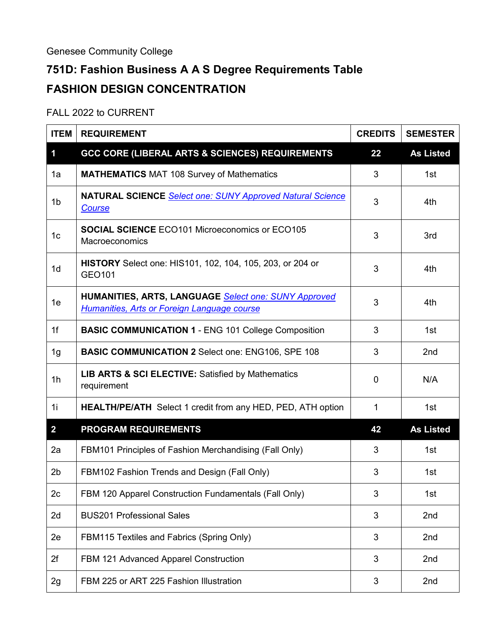Genesee Community College

## **751D: Fashion Business A A S Degree Requirements Table FASHION DESIGN CONCENTRATION**

## FALL 2022 to CURRENT

| <b>ITEM</b>    | <b>REQUIREMENT</b>                                                                                                | <b>CREDITS</b> | <b>SEMESTER</b>  |
|----------------|-------------------------------------------------------------------------------------------------------------------|----------------|------------------|
| 1              | <b>GCC CORE (LIBERAL ARTS &amp; SCIENCES) REQUIREMENTS</b>                                                        | 22             | <b>As Listed</b> |
| 1a             | <b>MATHEMATICS MAT 108 Survey of Mathematics</b>                                                                  | 3              | 1st              |
| 1 <sub>b</sub> | <b>NATURAL SCIENCE</b> Select one: SUNY Approved Natural Science<br>Course                                        | 3              | 4th              |
| 1 <sub>c</sub> | <b>SOCIAL SCIENCE ECO101 Microeconomics or ECO105</b><br>Macroeconomics                                           | 3              | 3rd              |
| 1 <sub>d</sub> | <b>HISTORY</b> Select one: HIS101, 102, 104, 105, 203, or 204 or<br>GEO101                                        | 3              | 4th              |
| 1e             | <b>HUMANITIES, ARTS, LANGUAGE Select one: SUNY Approved</b><br><b>Humanities, Arts or Foreign Language course</b> | 3              | 4th              |
| 1f             | <b>BASIC COMMUNICATION 1 - ENG 101 College Composition</b>                                                        | 3              | 1st              |
| 1g             | <b>BASIC COMMUNICATION 2 Select one: ENG106, SPE 108</b>                                                          | 3              | 2nd              |
| 1 <sub>h</sub> | <b>LIB ARTS &amp; SCI ELECTIVE: Satisfied by Mathematics</b><br>requirement                                       | $\mathbf 0$    | N/A              |
| 1i             | <b>HEALTH/PE/ATH</b> Select 1 credit from any HED, PED, ATH option                                                | $\mathbf{1}$   | 1st              |
| $\overline{2}$ | <b>PROGRAM REQUIREMENTS</b>                                                                                       | 42             | <b>As Listed</b> |
| 2a             | FBM101 Principles of Fashion Merchandising (Fall Only)                                                            | 3              | 1st              |
| 2 <sub>b</sub> | FBM102 Fashion Trends and Design (Fall Only)                                                                      | 3              | 1st              |
| 2c             | FBM 120 Apparel Construction Fundamentals (Fall Only)                                                             | 3              | 1st              |
| 2d             | <b>BUS201 Professional Sales</b>                                                                                  | 3              | 2nd              |
| 2e             | FBM115 Textiles and Fabrics (Spring Only)                                                                         | 3              | 2nd              |
| 2f             | FBM 121 Advanced Apparel Construction                                                                             | 3              | 2nd              |
| 2g             | FBM 225 or ART 225 Fashion Illustration                                                                           | 3              | 2nd              |